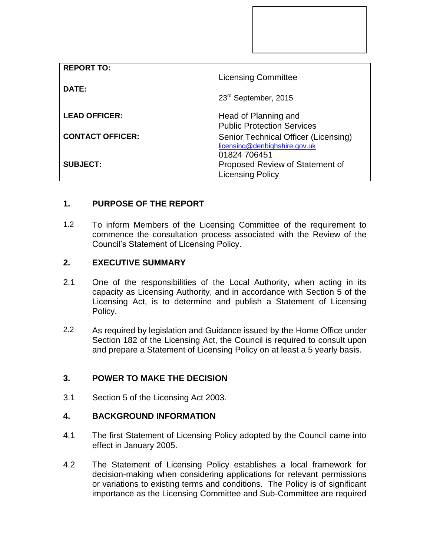| <b>REPORT TO:</b>       |                                                                                       |
|-------------------------|---------------------------------------------------------------------------------------|
|                         | <b>Licensing Committee</b>                                                            |
| DATE:                   | 23 <sup>rd</sup> September, 2015                                                      |
| <b>LEAD OFFICER:</b>    | Head of Planning and<br><b>Public Protection Services</b>                             |
| <b>CONTACT OFFICER:</b> | Senior Technical Officer (Licensing)<br>licensing@denbighshire.gov.uk<br>01824 706451 |
| <b>SUBJECT:</b>         | Proposed Review of Statement of<br><b>Licensing Policy</b>                            |

# **1. PURPOSE OF THE REPORT**

1.2 To inform Members of the Licensing Committee of the requirement to commence the consultation process associated with the Review of the Council's Statement of Licensing Policy.

### **2. EXECUTIVE SUMMARY**

- 2.1 One of the responsibilities of the Local Authority, when acting in its capacity as Licensing Authority, and in accordance with Section 5 of the Licensing Act, is to determine and publish a Statement of Licensing Policy.
- 2.2 As required by legislation and Guidance issued by the Home Office under Section 182 of the Licensing Act, the Council is required to consult upon and prepare a Statement of Licensing Policy on at least a 5 yearly basis.

## **3. POWER TO MAKE THE DECISION**

3.1 Section 5 of the Licensing Act 2003.

## **4. BACKGROUND INFORMATION**

- 4.1 The first Statement of Licensing Policy adopted by the Council came into effect in January 2005.
- 4.2 The Statement of Licensing Policy establishes a local framework for decision-making when considering applications for relevant permissions or variations to existing terms and conditions. The Policy is of significant importance as the Licensing Committee and Sub-Committee are required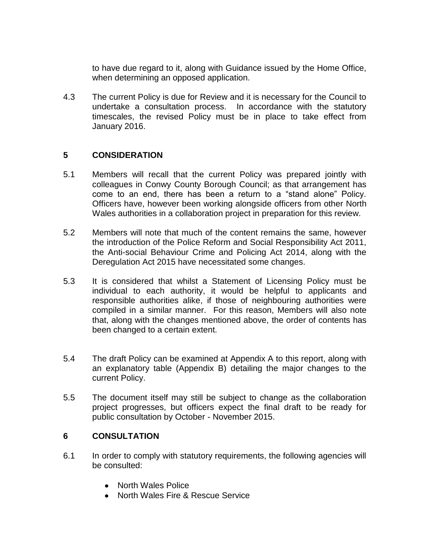to have due regard to it, along with Guidance issued by the Home Office, when determining an opposed application.

4.3 The current Policy is due for Review and it is necessary for the Council to undertake a consultation process. In accordance with the statutory timescales, the revised Policy must be in place to take effect from January 2016.

### **5 CONSIDERATION**

- 5.1 Members will recall that the current Policy was prepared jointly with colleagues in Conwy County Borough Council; as that arrangement has come to an end, there has been a return to a "stand alone" Policy. Officers have, however been working alongside officers from other North Wales authorities in a collaboration project in preparation for this review.
- 5.2 Members will note that much of the content remains the same, however the introduction of the Police Reform and Social Responsibility Act 2011, the Anti-social Behaviour Crime and Policing Act 2014, along with the Deregulation Act 2015 have necessitated some changes.
- 5.3 It is considered that whilst a Statement of Licensing Policy must be individual to each authority, it would be helpful to applicants and responsible authorities alike, if those of neighbouring authorities were compiled in a similar manner. For this reason, Members will also note that, along with the changes mentioned above, the order of contents has been changed to a certain extent.
- 5.4 The draft Policy can be examined at Appendix A to this report, along with an explanatory table (Appendix B) detailing the major changes to the current Policy.
- 5.5 The document itself may still be subject to change as the collaboration project progresses, but officers expect the final draft to be ready for public consultation by October - November 2015.

### **6 CONSULTATION**

- 6.1 In order to comply with statutory requirements, the following agencies will be consulted:
	- North Wales Police
	- North Wales Fire & Rescue Service